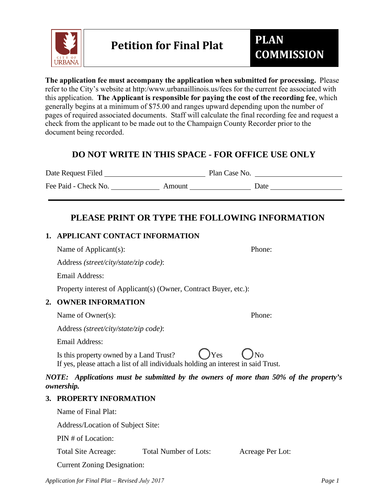

**The application fee must accompany the application when submitted for processing.** Please refer to the City's website at http:/www.urbanaillinois.us/fees for the current fee associated with this application. **The Applicant is responsible for paying the cost of the recording fee**, which generally begins at a minimum of \$75.00 and ranges upward depending upon the number of pages of required associated documents. Staff will calculate the final recording fee and request a check from the applicant to be made out to the Champaign County Recorder prior to the document being recorded.

# **DO NOT WRITE IN THIS SPACE - FOR OFFICE USE ONLY**

Date Request Filed Plan Case No.

Fee Paid - Check No. Amount Date

# **PLEASE PRINT OR TYPE THE FOLLOWING INFORMATION**

## **1. APPLICANT CONTACT INFORMATION**

Name of Applicant(s): Phone:

Address *(street/city/state/zip code)*:

Email Address:

Property interest of Applicant(s) (Owner, Contract Buyer, etc.):

# **2. OWNER INFORMATION**

Name of Owner(s): Phone:

Address *(street/city/state/zip code)*:

Email Address:

Is this property owned by a Land Trust?  $\bigcup Y$ es  $\bigcup N$ o If yes, please attach a list of all individuals holding an interest in said Trust.

*NOTE: Applications must be submitted by the owners of more than 50% of the property's ownership.* 

# **3. PROPERTY INFORMATION**

Name of Final Plat:

Address/Location of Subject Site:

PIN # of Location:

Total Site Acreage: Total Number of Lots: Acreage Per Lot:

Current Zoning Designation:

*Application for Final Plat – Revised July 2017 Page 1*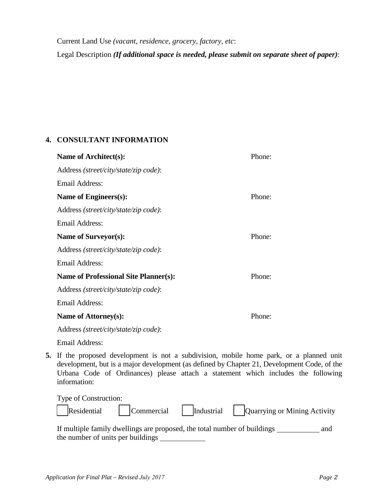Current Land Use *(vacant, residence, grocery, factory, etc*: Legal Description *(If additional space is needed, please submit on separate sheet of paper)*:

### **4. CONSULTANT INFORMATION**

| Name of Architect(s):                        | Phone: |
|----------------------------------------------|--------|
| Address (street/city/state/zip code):        |        |
| Email Address:                               |        |
| Name of Engineers(s):                        | Phone: |
| Address (street/city/state/zip code):        |        |
| Email Address:                               |        |
| Name of Surveyor(s):                         | Phone: |
| Address (street/city/state/zip code):        |        |
| Email Address:                               |        |
| <b>Name of Professional Site Planner(s):</b> | Phone: |
| Address (street/city/state/zip code):        |        |
| <b>Email Address:</b>                        |        |
| Name of Attorney(s):                         | Phone: |
| Address (street/city/state/zip code):        |        |
| Email Address:                               |        |

**5.** If the proposed development is not a subdivision, mobile home park, or a planned unit development, but is a major development (as defined by Chapter 21, Development Code, of the Urbana Code of Ordinances) please attach a statement which includes the following information:

| Type of Construction: |  |                                                                |
|-----------------------|--|----------------------------------------------------------------|
|                       |  | Residential Commercial Industrial Quarrying or Mining Activity |

| If multiple family dwellings are proposed, the total number of buildings | and |
|--------------------------------------------------------------------------|-----|
| the number of units per buildings                                        |     |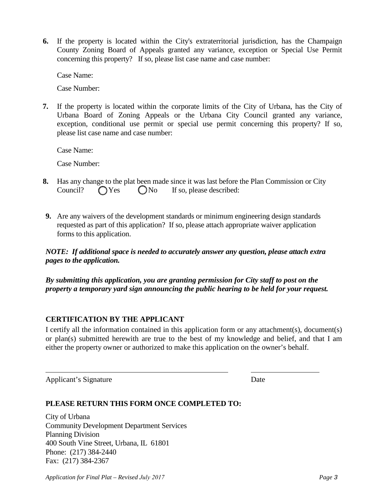**6.** If the property is located within the City's extraterritorial jurisdiction, has the Champaign County Zoning Board of Appeals granted any variance, exception or Special Use Permit concerning this property? If so, please list case name and case number:

Case Name:

Case Number:

**7.** If the property is located within the corporate limits of the City of Urbana, has the City of Urbana Board of Zoning Appeals or the Urbana City Council granted any variance, exception, conditional use permit or special use permit concerning this property? If so, please list case name and case number:

Case Name:

Case Number:

- **8.** Has any change to the plat been made since it was last before the Plan Commission or City Council?  $\bigcap$  Yes  $\bigcap$  No If so, please described:
- **9.** Are any waivers of the development standards or minimum engineering design standards requested as part of this application? If so, please attach appropriate waiver application forms to this application.

*NOTE: If additional space is needed to accurately answer any question, please attach extra pages to the application.*

*By submitting this application, you are granting permission for City staff to post on the property a temporary yard sign announcing the public hearing to be held for your request.* 

#### **CERTIFICATION BY THE APPLICANT**

I certify all the information contained in this application form or any attachment(s), document(s) or plan(s) submitted herewith are true to the best of my knowledge and belief, and that I am either the property owner or authorized to make this application on the owner's behalf.

Applicant's Signature Date

### **PLEASE RETURN THIS FORM ONCE COMPLETED TO:**

City of Urbana Community Development Department Services Planning Division 400 South Vine Street, Urbana, IL 61801 Phone: (217) 384-2440 Fax: (217) 384-2367

*Application for Final Plat – Revised July 2017 Page 3*